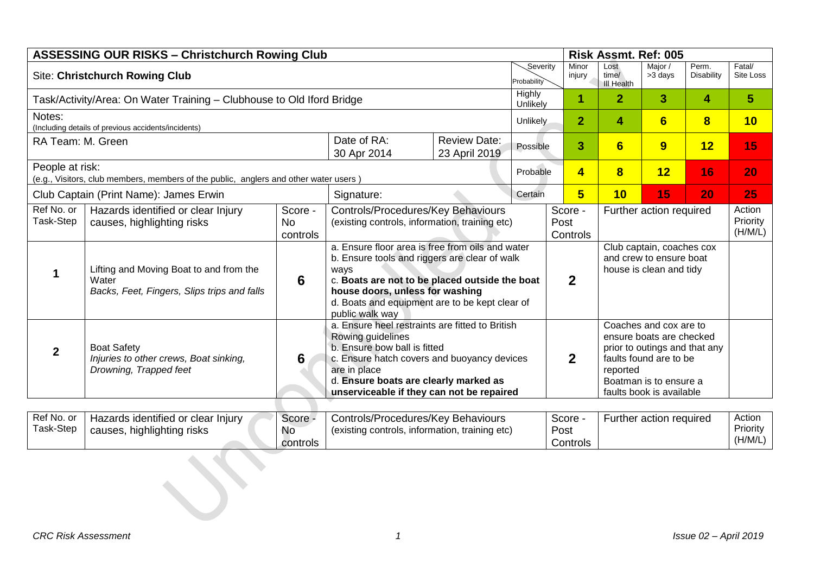| <b>ASSESSING OUR RISKS - Christchurch Rowing Club</b> |                                                                                                 |                                  |                                                                                                                                                                                                                                                                     |                                      |                    |                |                                                                                                                                                                                 | Risk Assmt. Ref: 005               |                    |                               |                     |
|-------------------------------------------------------|-------------------------------------------------------------------------------------------------|----------------------------------|---------------------------------------------------------------------------------------------------------------------------------------------------------------------------------------------------------------------------------------------------------------------|--------------------------------------|--------------------|----------------|---------------------------------------------------------------------------------------------------------------------------------------------------------------------------------|------------------------------------|--------------------|-------------------------------|---------------------|
| <b>Site: Christchurch Rowing Club</b><br>Probability  |                                                                                                 |                                  |                                                                                                                                                                                                                                                                     |                                      |                    |                | Minor<br>injury                                                                                                                                                                 | Lost<br>time/<br><b>III Health</b> | Major /<br>>3 days | Perm.<br><b>Disability</b>    | Fatal/<br>Site Loss |
|                                                       | Task/Activity/Area: On Water Training - Clubhouse to Old Iford Bridge                           |                                  |                                                                                                                                                                                                                                                                     |                                      | Highly<br>Unlikely | 1              |                                                                                                                                                                                 | $\overline{2}$                     | 3                  | 4                             | 5                   |
| Notes:                                                | (Including details of previous accidents/incidents)                                             |                                  |                                                                                                                                                                                                                                                                     |                                      | Unlikely           |                | $\overline{2}$                                                                                                                                                                  | 4                                  | 6                  | $\overline{\mathbf{8}}$       | 10                  |
| RA Team: M. Green                                     |                                                                                                 |                                  | Date of RA:<br>30 Apr 2014                                                                                                                                                                                                                                          | <b>Review Date:</b><br>23 April 2019 | Possible           |                | 3                                                                                                                                                                               | 6                                  | 9                  | 12                            | 15                  |
| People at risk:                                       | (e.g., Visitors, club members, members of the public, anglers and other water users)            |                                  |                                                                                                                                                                                                                                                                     |                                      | Probable           |                | $\overline{\mathbf{4}}$                                                                                                                                                         | $\bf{8}$                           | 12                 | 16                            | 20                  |
| Club Captain (Print Name): James Erwin<br>Signature:  |                                                                                                 |                                  |                                                                                                                                                                                                                                                                     | Certain                              |                    | 5              | 10                                                                                                                                                                              | 15                                 | 20                 | 25                            |                     |
| Ref No. or<br>Task-Step                               | Hazards identified or clear Injury<br>causes, highlighting risks                                | Score -<br><b>No</b><br>controls | Controls/Procedures/Key Behaviours<br>(existing controls, information, training etc)                                                                                                                                                                                |                                      |                    | Post           | Score -<br>Further action required<br>Controls                                                                                                                                  |                                    |                    | Action<br>Priority<br>(H/M/L) |                     |
|                                                       | Lifting and Moving Boat to and from the<br>Water<br>Backs, Feet, Fingers, Slips trips and falls | 6                                | a. Ensure floor area is free from oils and water<br>b. Ensure tools and riggers are clear of walk<br>ways<br>c. Boats are not to be placed outside the boat<br>house doors, unless for washing<br>d. Boats and equipment are to be kept clear of<br>public walk way |                                      |                    | $\overline{2}$ | Club captain, coaches cox<br>and crew to ensure boat<br>house is clean and tidy                                                                                                 |                                    |                    |                               |                     |
| $\mathbf{2}$                                          | <b>Boat Safety</b><br>Injuries to other crews, Boat sinking,<br>Drowning, Trapped feet          | 6                                | a. Ensure heel restraints are fitted to British<br>Rowing guidelines<br>b. Ensure bow ball is fitted<br>c. Ensure hatch covers and buoyancy devices<br>are in place<br>d. Ensure boats are clearly marked as<br>unserviceable if they can not be repaired           |                                      |                    | $\overline{2}$ | Coaches and cox are to<br>ensure boats are checked<br>prior to outings and that any<br>faults found are to be<br>reported<br>Boatman is to ensure a<br>faults book is available |                                    |                    |                               |                     |

| Ref No. or<br>Task-Step | Hazards identified or clear Injury<br>causes, highlighting risks | Score -<br><b>No</b><br>controls | Controls/Procedures/Key Behaviours<br>(existing controls, information, training etc) | Score -<br>Post<br>Controls | Further action required | Action<br>Priority<br>(H/M/L) |
|-------------------------|------------------------------------------------------------------|----------------------------------|--------------------------------------------------------------------------------------|-----------------------------|-------------------------|-------------------------------|
|                         |                                                                  |                                  |                                                                                      |                             |                         |                               |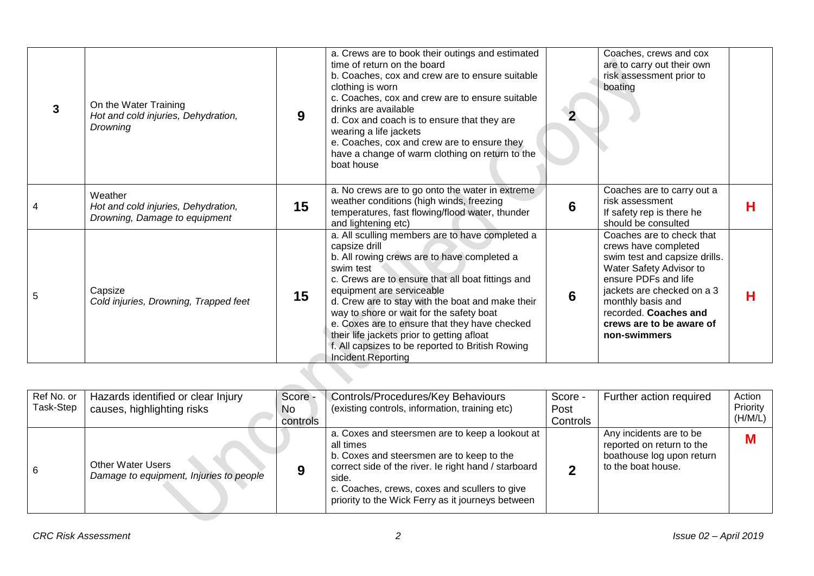|   | On the Water Training<br>Hot and cold injuries, Dehydration,<br><b>Drowning</b> | 9  | a. Crews are to book their outings and estimated<br>time of return on the board<br>b. Coaches, cox and crew are to ensure suitable<br>clothing is worn<br>c. Coaches, cox and crew are to ensure suitable<br>drinks are available<br>d. Cox and coach is to ensure that they are<br>wearing a life jackets<br>e. Coaches, cox and crew are to ensure they<br>have a change of warm clothing on return to the<br>boat house                                                              |   | Coaches, crews and cox<br>are to carry out their own<br>risk assessment prior to<br>boating                                                                                                                                                                   |   |
|---|---------------------------------------------------------------------------------|----|-----------------------------------------------------------------------------------------------------------------------------------------------------------------------------------------------------------------------------------------------------------------------------------------------------------------------------------------------------------------------------------------------------------------------------------------------------------------------------------------|---|---------------------------------------------------------------------------------------------------------------------------------------------------------------------------------------------------------------------------------------------------------------|---|
|   | Weather<br>Hot and cold injuries, Dehydration,<br>Drowning, Damage to equipment | 15 | a. No crews are to go onto the water in extreme<br>weather conditions (high winds, freezing<br>temperatures, fast flowing/flood water, thunder<br>and lightening etc)                                                                                                                                                                                                                                                                                                                   | 6 | Coaches are to carry out a<br>risk assessment<br>If safety rep is there he<br>should be consulted                                                                                                                                                             | н |
| 5 | Capsize<br>Cold injuries, Drowning, Trapped feet                                | 15 | a. All sculling members are to have completed a<br>capsize drill<br>b. All rowing crews are to have completed a<br>swim test<br>c. Crews are to ensure that all boat fittings and<br>equipment are serviceable<br>d. Crew are to stay with the boat and make their<br>way to shore or wait for the safety boat<br>e. Coxes are to ensure that they have checked<br>their life jackets prior to getting afloat<br>f. All capsizes to be reported to British Rowing<br>Incident Reporting | 6 | Coaches are to check that<br>crews have completed<br>swim test and capsize drills.<br>Water Safety Advisor to<br>ensure PDFs and life<br>jackets are checked on a 3<br>monthly basis and<br>recorded. Coaches and<br>crews are to be aware of<br>non-swimmers | н |

| Ref No. or<br>Task-Step | Hazards identified or clear Injury<br>causes, highlighting risks    | Score -<br>No<br>controls | Controls/Procedures/Key Behaviours<br>(existing controls, information, training etc)                                                                                                                                                                                             | Score -<br>Post<br>Controls | Further action required                                                                                 | Action<br>Priority<br>(H/M/L) |
|-------------------------|---------------------------------------------------------------------|---------------------------|----------------------------------------------------------------------------------------------------------------------------------------------------------------------------------------------------------------------------------------------------------------------------------|-----------------------------|---------------------------------------------------------------------------------------------------------|-------------------------------|
|                         | <b>Other Water Users</b><br>Damage to equipment, Injuries to people | О                         | a. Coxes and steersmen are to keep a lookout at<br>all times<br>b. Coxes and steersmen are to keep to the<br>correct side of the river. Ie right hand / starboard<br>side.<br>c. Coaches, crews, coxes and scullers to give<br>priority to the Wick Ferry as it journeys between |                             | Any incidents are to be<br>reported on return to the<br>boathouse log upon return<br>to the boat house. | M                             |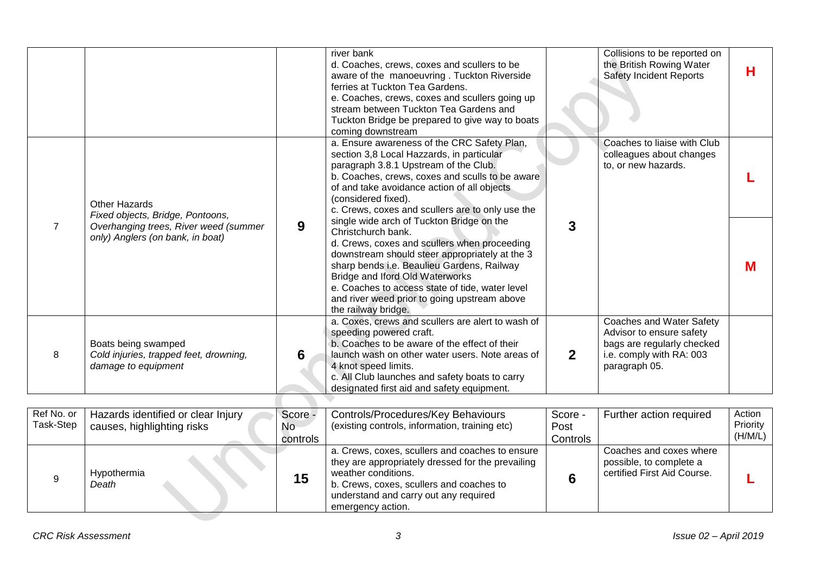|   |                                                                                      |   | river bank<br>d. Coaches, crews, coxes and scullers to be<br>aware of the manoeuvring. Tuckton Riverside<br>ferries at Tuckton Tea Gardens.<br>e. Coaches, crews, coxes and scullers going up<br>stream between Tuckton Tea Gardens and<br>Tuckton Bridge be prepared to give way to boats<br>coming downstream                                                              |              | Collisions to be reported on<br>the British Rowing Water<br><b>Safety Incident Reports</b>                                      | н |
|---|--------------------------------------------------------------------------------------|---|------------------------------------------------------------------------------------------------------------------------------------------------------------------------------------------------------------------------------------------------------------------------------------------------------------------------------------------------------------------------------|--------------|---------------------------------------------------------------------------------------------------------------------------------|---|
|   | <b>Other Hazards</b><br>Fixed objects, Bridge, Pontoons,                             |   | a. Ensure awareness of the CRC Safety Plan,<br>section 3,8 Local Hazzards, in particular<br>paragraph 3.8.1 Upstream of the Club.<br>b. Coaches, crews, coxes and sculls to be aware<br>of and take avoidance action of all objects<br>(considered fixed).<br>c. Crews, coxes and scullers are to only use the                                                               |              | Coaches to liaise with Club<br>colleagues about changes<br>to, or new hazards.                                                  |   |
|   | Overhanging trees, River weed (summer<br>only) Anglers (on bank, in boat)            | 9 | single wide arch of Tuckton Bridge on the<br>Christchurch bank.<br>d. Crews, coxes and scullers when proceeding<br>downstream should steer appropriately at the 3<br>sharp bends i.e. Beaulieu Gardens, Railway<br>Bridge and Iford Old Waterworks<br>e. Coaches to access state of tide, water level<br>and river weed prior to going upstream above<br>the railway bridge. | 3            |                                                                                                                                 | M |
| 8 | Boats being swamped<br>Cold injuries, trapped feet, drowning,<br>damage to equipment | 6 | a. Coxes, crews and scullers are alert to wash of<br>speeding powered craft.<br>b. Coaches to be aware of the effect of their<br>launch wash on other water users. Note areas of<br>4 knot speed limits.<br>c. All Club launches and safety boats to carry<br>designated first aid and safety equipment.                                                                     | $\mathbf{2}$ | Coaches and Water Safety<br>Advisor to ensure safety<br>bags are regularly checked<br>i.e. comply with RA: 003<br>paragraph 05. |   |

| Ref No. or<br>Task-Step | Hazards identified or clear Injury<br>causes, highlighting risks | Score -<br>No.<br>controls | Controls/Procedures/Key Behaviours<br>(existing controls, information, training etc)                                                                                                                                                  | Score -<br>Post<br>Controls | Further action required                                                           | Action<br>Priority<br>(H/M/L) |
|-------------------------|------------------------------------------------------------------|----------------------------|---------------------------------------------------------------------------------------------------------------------------------------------------------------------------------------------------------------------------------------|-----------------------------|-----------------------------------------------------------------------------------|-------------------------------|
|                         | Hypothermia<br>Death                                             | 15                         | a. Crews, coxes, scullers and coaches to ensure<br>they are appropriately dressed for the prevailing<br>weather conditions.<br>b. Crews, coxes, scullers and coaches to<br>understand and carry out any required<br>emergency action. |                             | Coaches and coxes where<br>possible, to complete a<br>certified First Aid Course. |                               |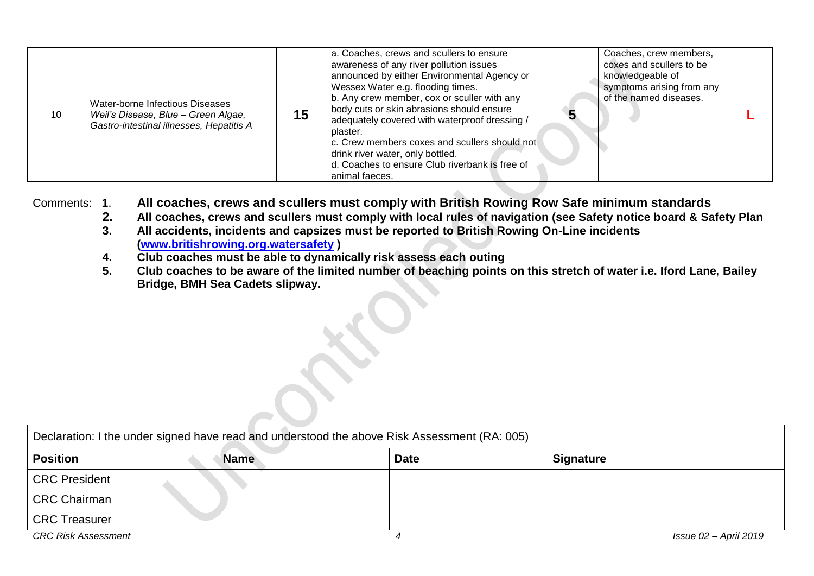| 10 | Water-borne Infectious Diseases<br>Weil's Disease, Blue - Green Algae,<br>Gastro-intestinal illnesses, Hepatitis A | 15 | a. Coaches, crews and scullers to ensure<br>awareness of any river pollution issues<br>announced by either Environmental Agency or<br>Wessex Water e.g. flooding times.<br>b. Any crew member, cox or sculler with any<br>body cuts or skin abrasions should ensure<br>adequately covered with waterproof dressing /<br>plaster.<br>c. Crew members coxes and scullers should not<br>drink river water, only bottled.<br>d. Coaches to ensure Club riverbank is free of<br>animal faeces. |  | Coaches, crew members,<br>coxes and scullers to be<br>knowledgeable of<br>symptoms arising from any<br>of the named diseases. |  |
|----|--------------------------------------------------------------------------------------------------------------------|----|-------------------------------------------------------------------------------------------------------------------------------------------------------------------------------------------------------------------------------------------------------------------------------------------------------------------------------------------------------------------------------------------------------------------------------------------------------------------------------------------|--|-------------------------------------------------------------------------------------------------------------------------------|--|
|----|--------------------------------------------------------------------------------------------------------------------|----|-------------------------------------------------------------------------------------------------------------------------------------------------------------------------------------------------------------------------------------------------------------------------------------------------------------------------------------------------------------------------------------------------------------------------------------------------------------------------------------------|--|-------------------------------------------------------------------------------------------------------------------------------|--|

Comments: **1**. **All coaches, crews and scullers must comply with British Rowing Row Safe minimum standards**

- **2. All coaches, crews and scullers must comply with local rules of navigation (see Safety notice board & Safety Plan**
- **3. All accidents, incidents and capsizes must be reported to British Rowing On-Line incidents [\(www.britishrowing.org.watersafety](http://www.britishrowing.org.watersafety/) )**
- **4. Club coaches must be able to dynamically risk assess each outing**
- **5. Club coaches to be aware of the limited number of beaching points on this stretch of water i.e. Iford Lane, Bailey Bridge, BMH Sea Cadets slipway.**

| Declaration: I the under signed have read and understood the above Risk Assessment (RA: 005) |             |             |                  |  |  |  |  |  |
|----------------------------------------------------------------------------------------------|-------------|-------------|------------------|--|--|--|--|--|
| <b>Position</b>                                                                              | <b>Name</b> | <b>Date</b> | <b>Signature</b> |  |  |  |  |  |
| <b>CRC</b> President                                                                         |             |             |                  |  |  |  |  |  |
| <b>CRC Chairman</b>                                                                          |             |             |                  |  |  |  |  |  |
| <b>CRC Treasurer</b>                                                                         |             |             |                  |  |  |  |  |  |